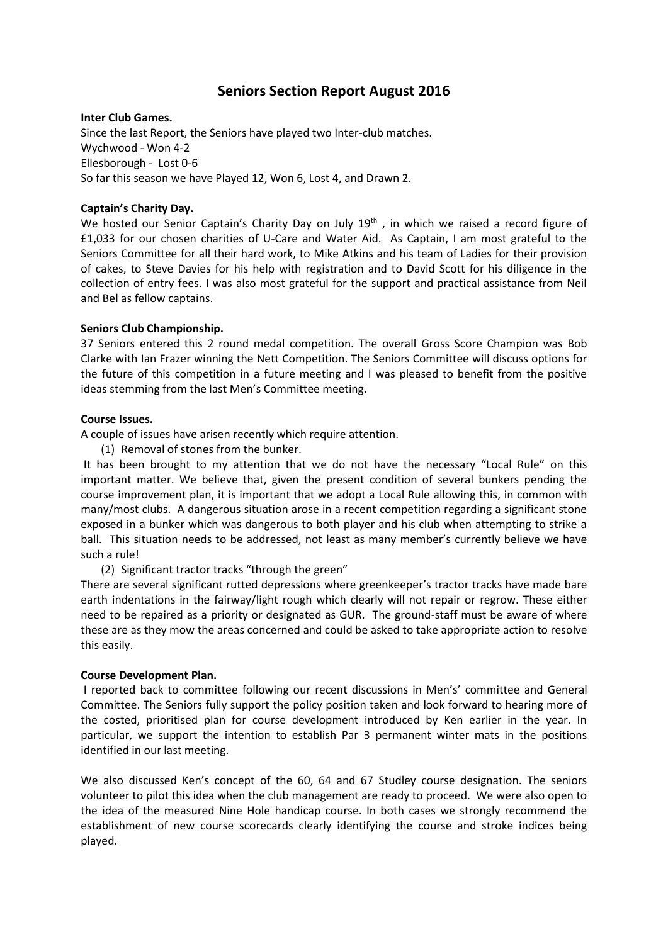# **Seniors Section Report August 2016**

#### **Inter Club Games.**

Since the last Report, the Seniors have played two Inter-club matches. Wychwood - Won 4-2 Ellesborough - Lost 0-6 So far this season we have Played 12, Won 6, Lost 4, and Drawn 2.

## **Captain's Charity Day.**

We hosted our Senior Captain's Charity Day on July 19<sup>th</sup>, in which we raised a record figure of £1,033 for our chosen charities of U-Care and Water Aid. As Captain, I am most grateful to the Seniors Committee for all their hard work, to Mike Atkins and his team of Ladies for their provision of cakes, to Steve Davies for his help with registration and to David Scott for his diligence in the collection of entry fees. I was also most grateful for the support and practical assistance from Neil and Bel as fellow captains.

## **Seniors Club Championship.**

37 Seniors entered this 2 round medal competition. The overall Gross Score Champion was Bob Clarke with Ian Frazer winning the Nett Competition. The Seniors Committee will discuss options for the future of this competition in a future meeting and I was pleased to benefit from the positive ideas stemming from the last Men's Committee meeting.

## **Course Issues.**

A couple of issues have arisen recently which require attention.

(1) Removal of stones from the bunker.

It has been brought to my attention that we do not have the necessary "Local Rule" on this important matter. We believe that, given the present condition of several bunkers pending the course improvement plan, it is important that we adopt a Local Rule allowing this, in common with many/most clubs. A dangerous situation arose in a recent competition regarding a significant stone exposed in a bunker which was dangerous to both player and his club when attempting to strike a ball. This situation needs to be addressed, not least as many member's currently believe we have such a rule!

(2) Significant tractor tracks "through the green"

There are several significant rutted depressions where greenkeeper's tractor tracks have made bare earth indentations in the fairway/light rough which clearly will not repair or regrow. These either need to be repaired as a priority or designated as GUR. The ground-staff must be aware of where these are as they mow the areas concerned and could be asked to take appropriate action to resolve this easily.

## **Course Development Plan.**

I reported back to committee following our recent discussions in Men's' committee and General Committee. The Seniors fully support the policy position taken and look forward to hearing more of the costed, prioritised plan for course development introduced by Ken earlier in the year. In particular, we support the intention to establish Par 3 permanent winter mats in the positions identified in our last meeting.

We also discussed Ken's concept of the 60, 64 and 67 Studley course designation. The seniors volunteer to pilot this idea when the club management are ready to proceed. We were also open to the idea of the measured Nine Hole handicap course. In both cases we strongly recommend the establishment of new course scorecards clearly identifying the course and stroke indices being played.